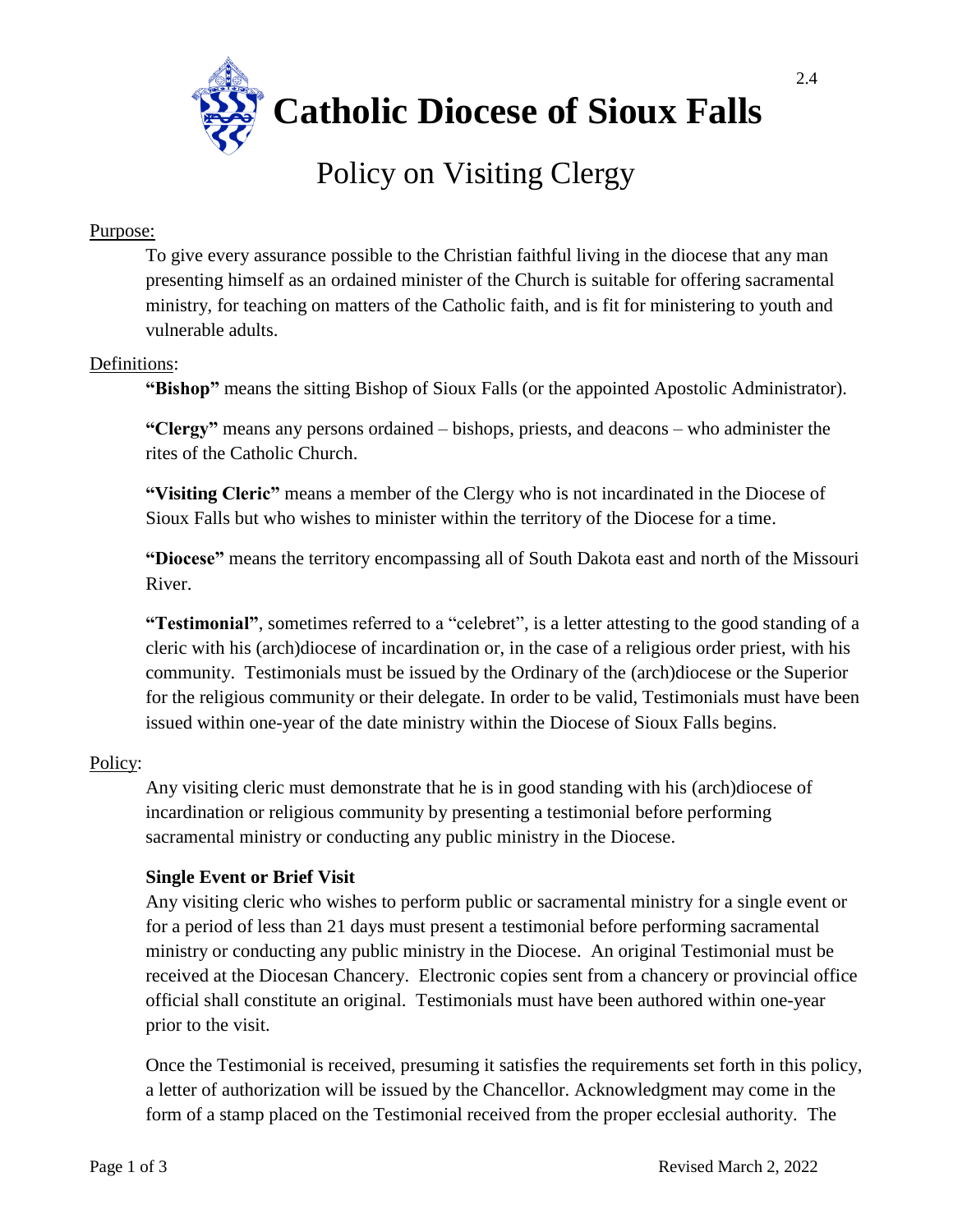

# Policy on Visiting Clergy

#### Purpose:

To give every assurance possible to the Christian faithful living in the diocese that any man presenting himself as an ordained minister of the Church is suitable for offering sacramental ministry, for teaching on matters of the Catholic faith, and is fit for ministering to youth and vulnerable adults.

# Definitions:

**"Bishop"** means the sitting Bishop of Sioux Falls (or the appointed Apostolic Administrator).

**"Clergy"** means any persons ordained – bishops, priests, and deacons – who administer the rites of the Catholic Church.

**"Visiting Cleric"** means a member of the Clergy who is not incardinated in the Diocese of Sioux Falls but who wishes to minister within the territory of the Diocese for a time.

**"Diocese"** means the territory encompassing all of South Dakota east and north of the Missouri River.

**"Testimonial"**, sometimes referred to a "celebret", is a letter attesting to the good standing of a cleric with his (arch)diocese of incardination or, in the case of a religious order priest, with his community. Testimonials must be issued by the Ordinary of the (arch)diocese or the Superior for the religious community or their delegate. In order to be valid, Testimonials must have been issued within one-year of the date ministry within the Diocese of Sioux Falls begins.

# Policy:

Any visiting cleric must demonstrate that he is in good standing with his (arch)diocese of incardination or religious community by presenting a testimonial before performing sacramental ministry or conducting any public ministry in the Diocese.

# **Single Event or Brief Visit**

Any visiting cleric who wishes to perform public or sacramental ministry for a single event or for a period of less than 21 days must present a testimonial before performing sacramental ministry or conducting any public ministry in the Diocese. An original Testimonial must be received at the Diocesan Chancery. Electronic copies sent from a chancery or provincial office official shall constitute an original. Testimonials must have been authored within one-year prior to the visit.

Once the Testimonial is received, presuming it satisfies the requirements set forth in this policy, a letter of authorization will be issued by the Chancellor. Acknowledgment may come in the form of a stamp placed on the Testimonial received from the proper ecclesial authority. The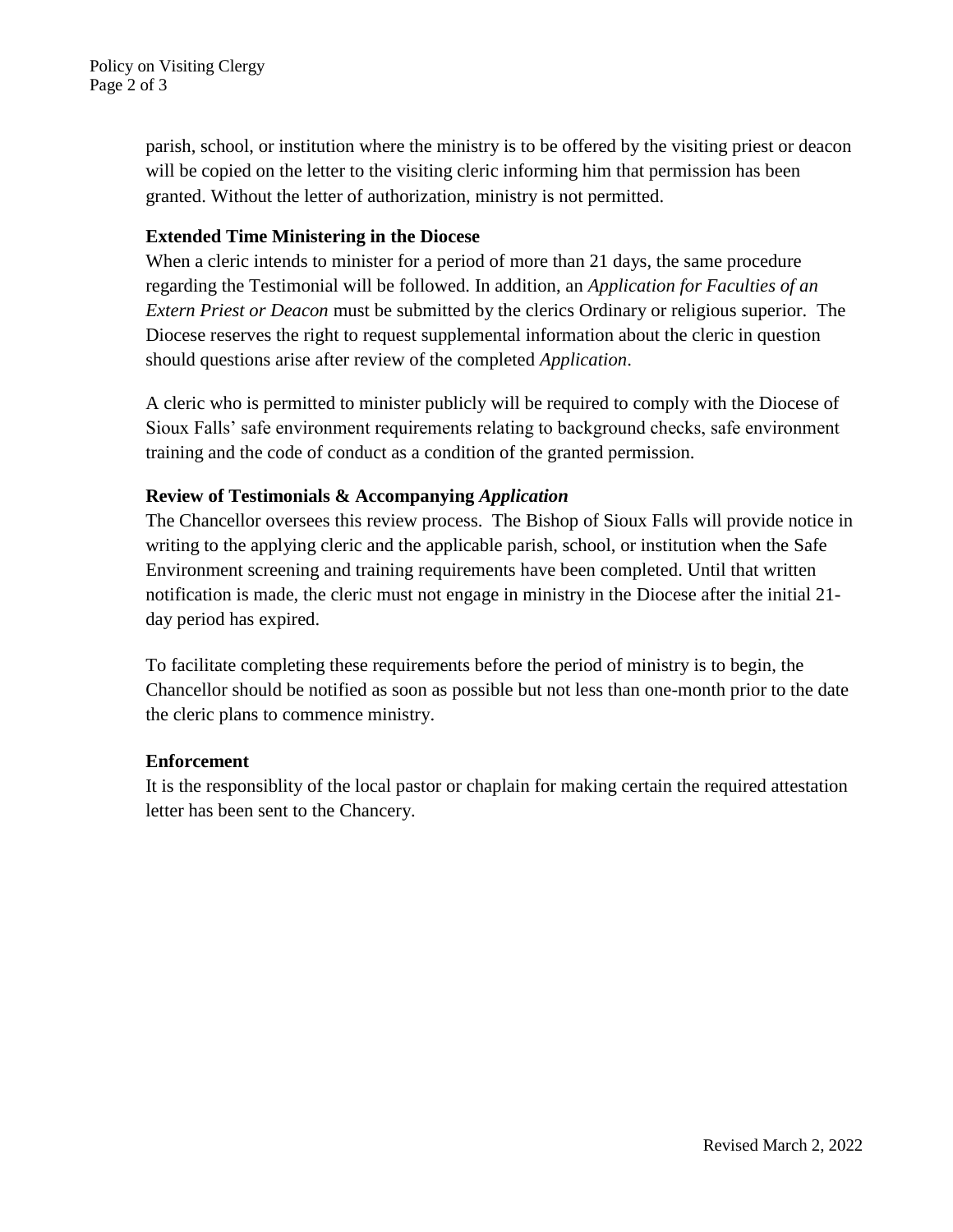parish, school, or institution where the ministry is to be offered by the visiting priest or deacon will be copied on the letter to the visiting cleric informing him that permission has been granted. Without the letter of authorization, ministry is not permitted.

# **Extended Time Ministering in the Diocese**

When a cleric intends to minister for a period of more than 21 days, the same procedure regarding the Testimonial will be followed. In addition, an *Application for Faculties of an Extern Priest or Deacon* must be submitted by the clerics Ordinary or religious superior. The Diocese reserves the right to request supplemental information about the cleric in question should questions arise after review of the completed *Application*.

A cleric who is permitted to minister publicly will be required to comply with the Diocese of Sioux Falls' safe environment requirements relating to background checks, safe environment training and the code of conduct as a condition of the granted permission.

# **Review of Testimonials & Accompanying** *Application*

The Chancellor oversees this review process. The Bishop of Sioux Falls will provide notice in writing to the applying cleric and the applicable parish, school, or institution when the Safe Environment screening and training requirements have been completed. Until that written notification is made, the cleric must not engage in ministry in the Diocese after the initial 21 day period has expired.

To facilitate completing these requirements before the period of ministry is to begin, the Chancellor should be notified as soon as possible but not less than one-month prior to the date the cleric plans to commence ministry.

# **Enforcement**

It is the responsiblity of the local pastor or chaplain for making certain the required attestation letter has been sent to the Chancery.